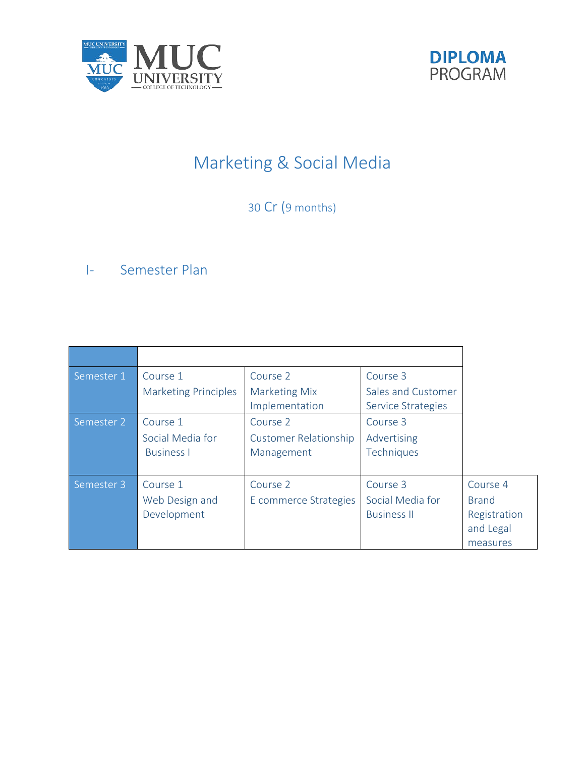



# Marketing & Social Media

30 Cr (9 months)

# I- Semester Plan

| Semester 1 | Course 1                    | Course 2                               | Course 3                                 |              |
|------------|-----------------------------|----------------------------------------|------------------------------------------|--------------|
|            | <b>Marketing Principles</b> | <b>Marketing Mix</b><br>Implementation | Sales and Customer<br>Service Strategies |              |
| Semester 2 | Course 1                    | Course 2                               | Course 3                                 |              |
|            | Social Media for            | <b>Customer Relationship</b>           | Advertising                              |              |
|            | <b>Business I</b>           | Management                             | Techniques                               |              |
|            |                             |                                        |                                          |              |
| Semester 3 | Course 1                    | Course 2                               | Course 3                                 | Course 4     |
|            | Web Design and              | E commerce Strategies                  | Social Media for                         | <b>Brand</b> |
|            | Development                 |                                        | <b>Business II</b>                       | Registration |
|            |                             |                                        |                                          | and Legal    |
|            |                             |                                        |                                          | measures     |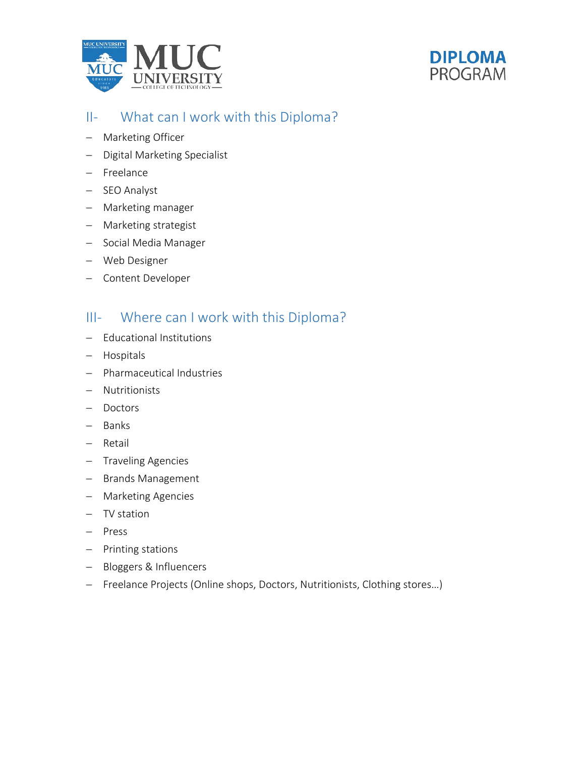



### II- What can I work with this Diploma?

- − Marketing Officer
- − Digital Marketing Specialist
- − Freelance
- − SEO Analyst
- − Marketing manager
- − Marketing strategist
- − Social Media Manager
- − Web Designer
- − Content Developer

### III- Where can I work with this Diploma?

- − Educational Institutions
- − Hospitals
- − Pharmaceutical Industries
- − Nutritionists
- − Doctors
- − Banks
- − Retail
- − Traveling Agencies
- − Brands Management
- − Marketing Agencies
- − TV station
- − Press
- − Printing stations
- − Bloggers & Influencers
- − Freelance Projects (Online shops, Doctors, Nutritionists, Clothing stores…)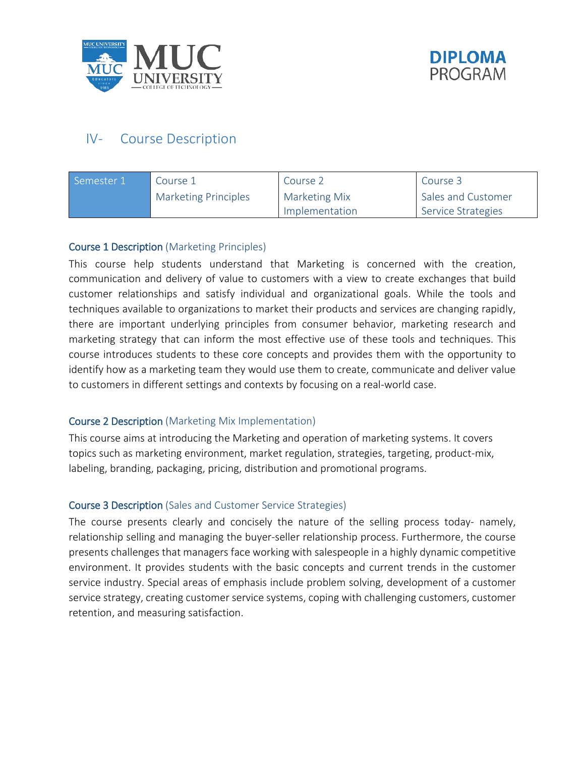



## IV- Course Description

| Semester 1 | Course 1                    | Course 2             | Course 3           |  |
|------------|-----------------------------|----------------------|--------------------|--|
|            | <b>Marketing Principles</b> | <b>Marketing Mix</b> | Sales and Customer |  |
|            |                             | Implementation       | Service Strategies |  |

#### Course 1 Description (Marketing Principles)

This course help students understand that Marketing is concerned with the creation, communication and delivery of value to customers with a view to create exchanges that build customer relationships and satisfy individual and organizational goals. While the tools and techniques available to organizations to market their products and services are changing rapidly, there are important underlying principles from consumer behavior, marketing research and marketing strategy that can inform the most effective use of these tools and techniques. This course introduces students to these core concepts and provides them with the opportunity to identify how as a marketing team they would use them to create, communicate and deliver value to customers in different settings and contexts by focusing on a real-world case.

#### Course 2 Description (Marketing Mix Implementation)

This course aims at introducing the Marketing and operation of marketing systems. It covers topics such as marketing environment, market regulation, strategies, targeting, product-mix, labeling, branding, packaging, pricing, distribution and promotional programs.

#### Course 3 Description (Sales and Customer Service Strategies)

The course presents clearly and concisely the nature of the selling process today- namely, relationship selling and managing the buyer-seller relationship process. Furthermore, the course presents challenges that managers face working with salespeople in a highly dynamic competitive environment. It provides students with the basic concepts and current trends in the customer service industry. Special areas of emphasis include problem solving, development of a customer service strategy, creating customer service systems, coping with challenging customers, customer retention, and measuring satisfaction.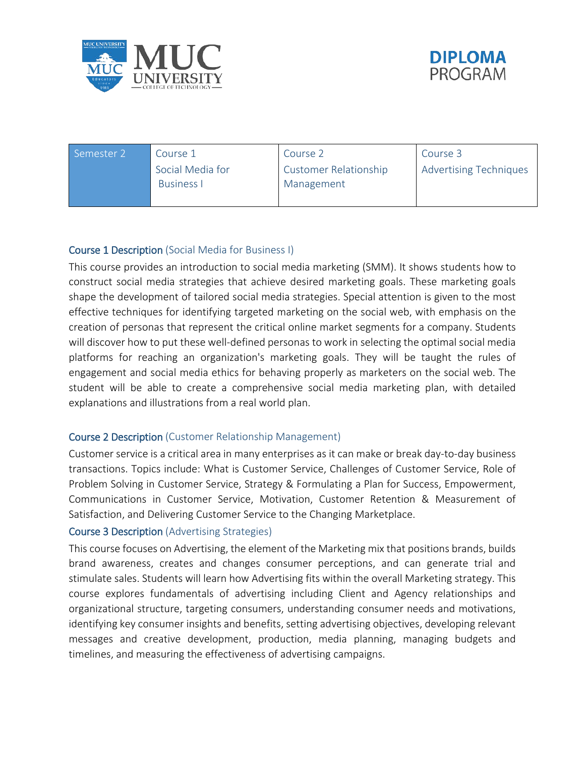



| Semester 2 | Course 1          | Course 2              | Course 3                      |
|------------|-------------------|-----------------------|-------------------------------|
|            | Social Media for  | Customer Relationship | <b>Advertising Techniques</b> |
|            | <b>Business I</b> | Management            |                               |
|            |                   |                       |                               |

#### Course 1 Description (Social Media for Business I)

This course provides an introduction to social media marketing (SMM). It shows students how to construct social media strategies that achieve desired marketing goals. These marketing goals shape the development of tailored social media strategies. Special attention is given to the most effective techniques for identifying targeted marketing on the social web, with emphasis on the creation of personas that represent the critical online market segments for a company. Students will discover how to put these well-defined personas to work in selecting the optimal social media platforms for reaching an organization's marketing goals. They will be taught the rules of engagement and social media ethics for behaving properly as marketers on the social web. The student will be able to create a comprehensive social media marketing plan, with detailed explanations and illustrations from a real world plan.

#### Course 2 Description (Customer Relationship Management)

Customer service is a critical area in many enterprises as it can make or break day-to-day business transactions. Topics include: What is Customer Service, Challenges of Customer Service, Role of Problem Solving in Customer Service, Strategy & Formulating a Plan for Success, Empowerment, Communications in Customer Service, Motivation, Customer Retention & Measurement of Satisfaction, and Delivering Customer Service to the Changing Marketplace.

#### Course 3 Description (Advertising Strategies)

This course focuses on Advertising, the element of the Marketing mix that positions brands, builds brand awareness, creates and changes consumer perceptions, and can generate trial and stimulate sales. Students will learn how Advertising fits within the overall Marketing strategy. This course explores fundamentals of advertising including Client and Agency relationships and organizational structure, targeting consumers, understanding consumer needs and motivations, identifying key consumer insights and benefits, setting advertising objectives, developing relevant messages and creative development, production, media planning, managing budgets and timelines, and measuring the effectiveness of advertising campaigns.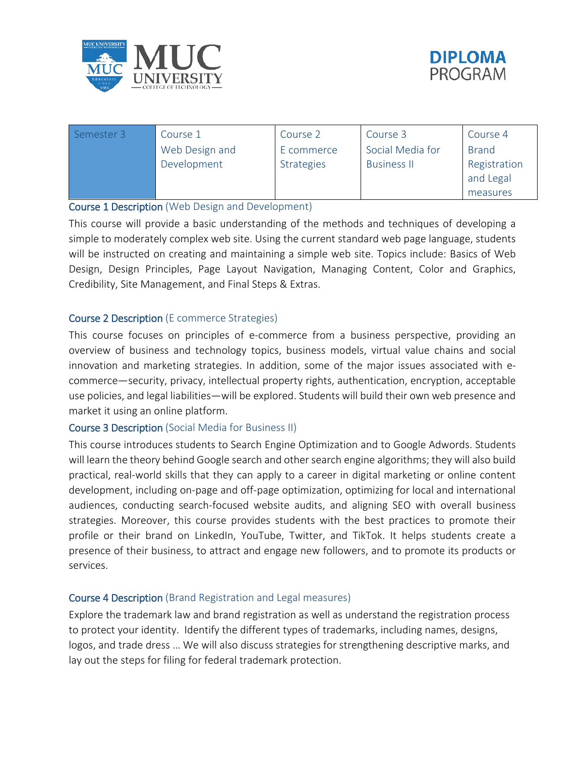



| Semester 3 | Course 1       | Course 2          | Course 3           | Course 4     |
|------------|----------------|-------------------|--------------------|--------------|
|            | Web Design and | E commerce        | Social Media for   | <b>Brand</b> |
|            | Development    | <b>Strategies</b> | <b>Business II</b> | Registration |
|            |                |                   |                    | and Legal    |
|            |                |                   |                    | measures     |

#### Course 1 Description (Web Design and Development)

This course will provide a basic understanding of the methods and techniques of developing a simple to moderately complex web site. Using the current standard web page language, students will be instructed on creating and maintaining a simple web site. Topics include: Basics of Web Design, Design Principles, Page Layout Navigation, Managing Content, Color and Graphics, Credibility, Site Management, and Final Steps & Extras.

#### Course 2 Description (E commerce Strategies)

This course focuses on principles of e-commerce from a business perspective, providing an overview of business and technology topics, business models, virtual value chains and social innovation and marketing strategies. In addition, some of the major issues associated with ecommerce—security, privacy, intellectual property rights, authentication, encryption, acceptable use policies, and legal liabilities—will be explored. Students will build their own web presence and market it using an online platform.

#### Course 3 Description (Social Media for Business II)

This course introduces students to Search Engine Optimization and to Google Adwords. Students will learn the theory behind Google search and other search engine algorithms; they will also build practical, real-world skills that they can apply to a career in digital marketing or online content development, including on-page and off-page optimization, optimizing for local and international audiences, conducting search-focused website audits, and aligning SEO with overall business strategies. Moreover, this course provides students with the best practices to promote their profile or their brand on LinkedIn, YouTube, Twitter, and TikTok. It helps students create a presence of their business, to attract and engage new followers, and to promote its products or services.

#### Course 4 Description (Brand Registration and Legal measures)

Explore the trademark law and brand registration as well as understand the registration process to protect your identity. Identify the different types of trademarks, including names, designs, logos, and trade dress … We will also discuss strategies for strengthening descriptive marks, and lay out the steps for filing for federal trademark protection.